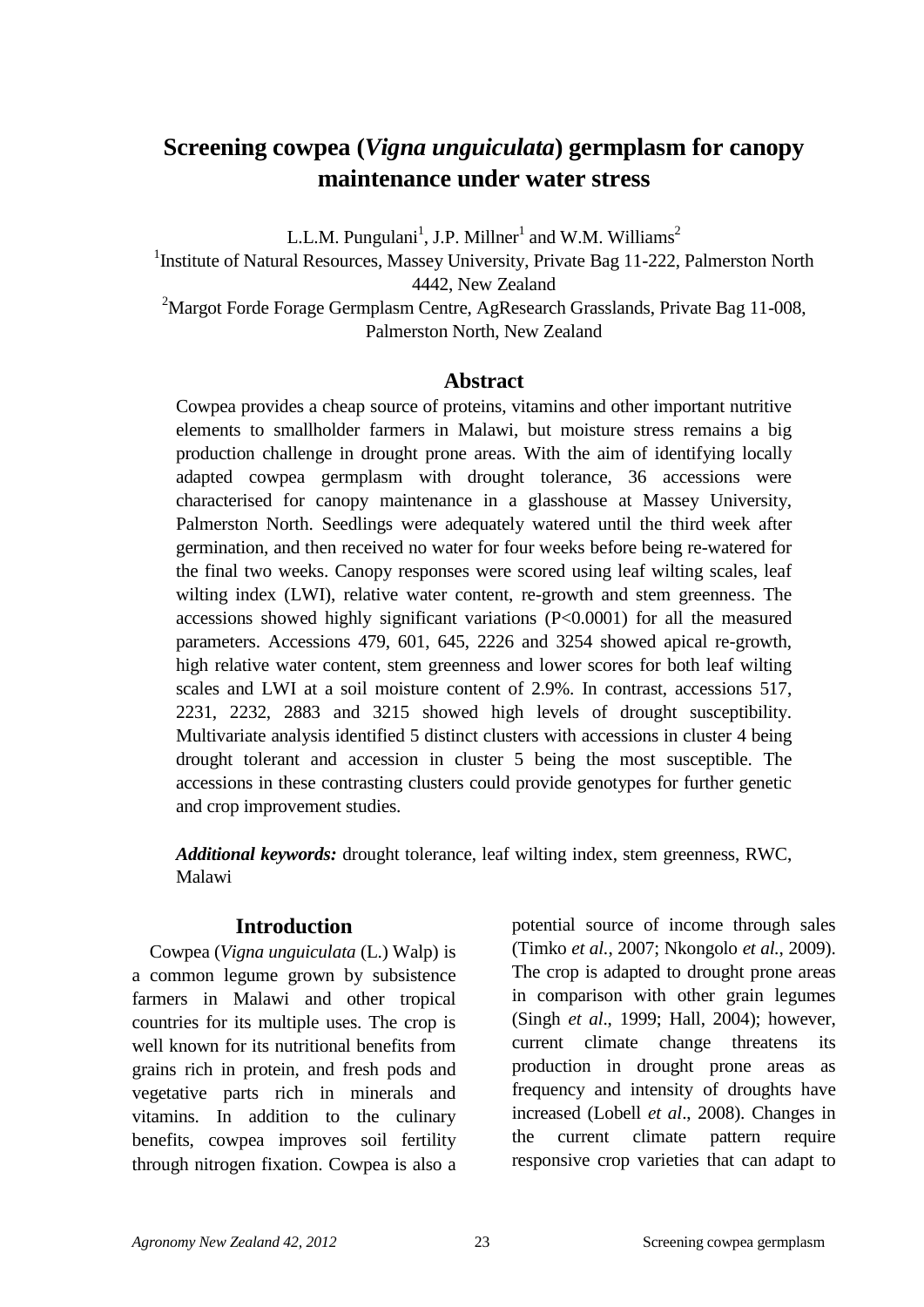# **Screening cowpea (***Vigna unguiculata***) germplasm for canopy maintenance under water stress**

L.L.M. Pungulani<sup>1</sup>, J.P. Millner<sup>1</sup> and W.M. Williams<sup>2</sup>

<sup>1</sup> Institute of Natural Resources, Massey University, Private Bag 11-222, Palmerston North 4442, New Zealand

<sup>2</sup>Margot Forde Forage Germplasm Centre, AgResearch Grasslands, Private Bag 11-008, Palmerston North, New Zealand

# **Abstract**

Cowpea provides a cheap source of proteins, vitamins and other important nutritive elements to smallholder farmers in Malawi, but moisture stress remains a big production challenge in drought prone areas. With the aim of identifying locally adapted cowpea germplasm with drought tolerance, 36 accessions were characterised for canopy maintenance in a glasshouse at Massey University, Palmerston North. Seedlings were adequately watered until the third week after germination, and then received no water for four weeks before being re-watered for the final two weeks. Canopy responses were scored using leaf wilting scales, leaf wilting index (LWI), relative water content, re-growth and stem greenness. The accessions showed highly significant variations (P<0.0001) for all the measured parameters. Accessions 479, 601, 645, 2226 and 3254 showed apical re-growth, high relative water content, stem greenness and lower scores for both leaf wilting scales and LWI at a soil moisture content of 2.9%. In contrast, accessions 517, 2231, 2232, 2883 and 3215 showed high levels of drought susceptibility. Multivariate analysis identified 5 distinct clusters with accessions in cluster 4 being drought tolerant and accession in cluster 5 being the most susceptible. The accessions in these contrasting clusters could provide genotypes for further genetic and crop improvement studies.

*Additional keywords:* drought tolerance, leaf wilting index, stem greenness, RWC, Malawi

# **Introduction**

Cowpea (*Vigna unguiculata* (L.) Walp) is a common legume grown by subsistence farmers in Malawi and other tropical countries for its multiple uses. The crop is well known for its nutritional benefits from grains rich in protein, and fresh pods and vegetative parts rich in minerals and vitamins. In addition to the culinary benefits, cowpea improves soil fertility through nitrogen fixation. Cowpea is also a potential source of income through sales (Timko *et al.*, 2007; Nkongolo *et al.*, 2009). The crop is adapted to drought prone areas in comparison with other grain legumes (Singh *et al*., 1999; Hall, 2004); however, current climate change threatens its production in drought prone areas as frequency and intensity of droughts have increased (Lobell *et al*., 2008). Changes in the current climate pattern require responsive crop varieties that can adapt to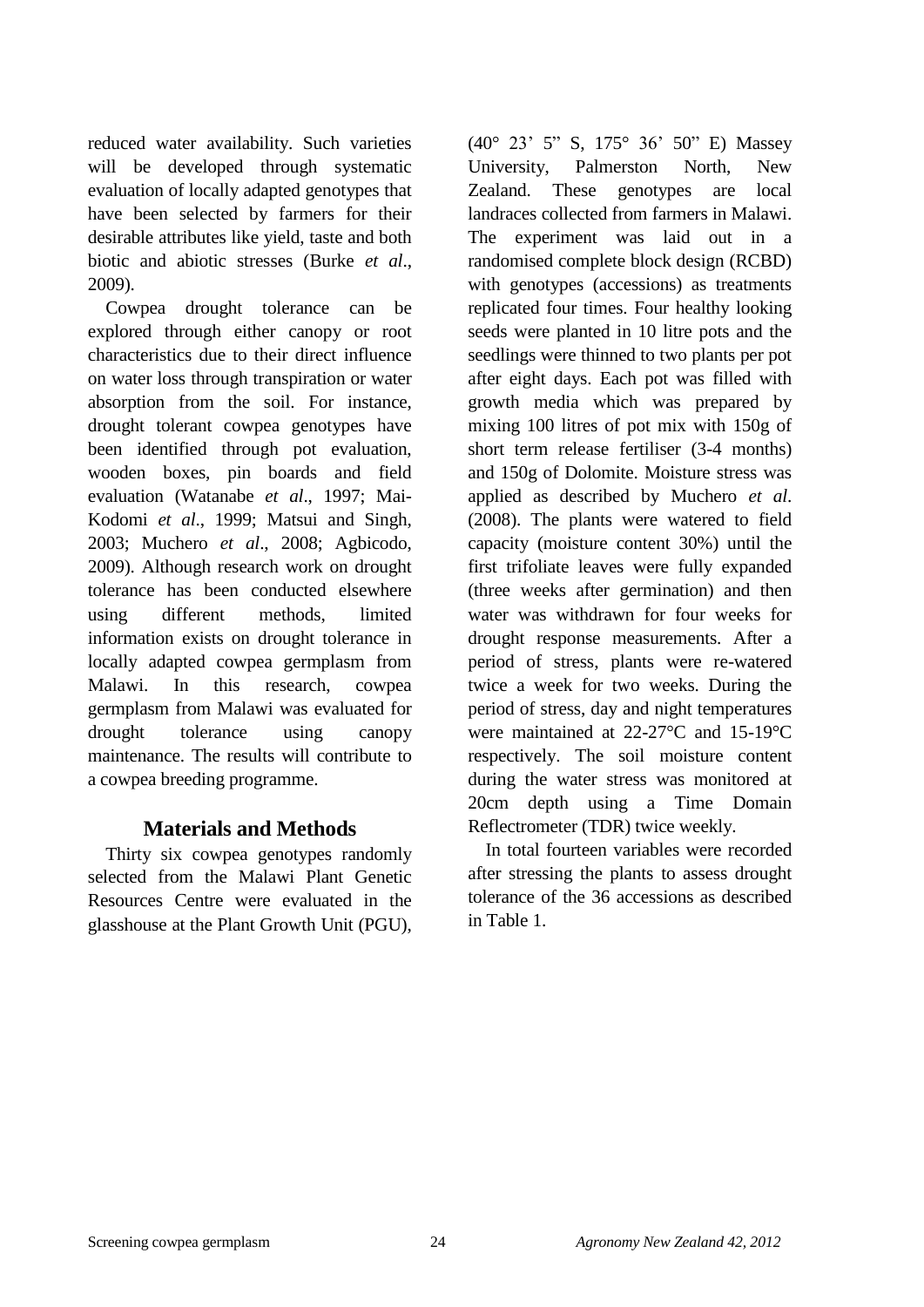reduced water availability. Such varieties will be developed through systematic evaluation of locally adapted genotypes that have been selected by farmers for their desirable attributes like yield, taste and both biotic and abiotic stresses (Burke *et al*., 2009).

Cowpea drought tolerance can be explored through either canopy or root characteristics due to their direct influence on water loss through transpiration or water absorption from the soil. For instance, drought tolerant cowpea genotypes have been identified through pot evaluation, wooden boxes, pin boards and field evaluation (Watanabe *et al*., 1997; Mai-Kodomi *et al*., 1999; Matsui and Singh, 2003; Muchero *et al*., 2008; Agbicodo, 2009). Although research work on drought tolerance has been conducted elsewhere using different methods, limited information exists on drought tolerance in locally adapted cowpea germplasm from Malawi. In this research, cowpea germplasm from Malawi was evaluated for drought tolerance using canopy maintenance. The results will contribute to a cowpea breeding programme.

# **Materials and Methods**

Thirty six cowpea genotypes randomly selected from the Malawi Plant Genetic Resources Centre were evaluated in the glasshouse at the Plant Growth Unit (PGU),

(40° 23" 5" S, 175° 36" 50" E) Massey University, Palmerston North, New Zealand. These genotypes are local landraces collected from farmers in Malawi. The experiment was laid out in a randomised complete block design (RCBD) with genotypes (accessions) as treatments replicated four times. Four healthy looking seeds were planted in 10 litre pots and the seedlings were thinned to two plants per pot after eight days. Each pot was filled with growth media which was prepared by mixing 100 litres of pot mix with 150g of short term release fertiliser (3-4 months) and 150g of Dolomite. Moisture stress was applied as described by Muchero *et al*. (2008). The plants were watered to field capacity (moisture content 30%) until the first trifoliate leaves were fully expanded (three weeks after germination) and then water was withdrawn for four weeks for drought response measurements. After a period of stress, plants were re-watered twice a week for two weeks. During the period of stress, day and night temperatures were maintained at 22-27°C and 15-19°C respectively. The soil moisture content during the water stress was monitored at 20cm depth using a Time Domain Reflectrometer (TDR) twice weekly.

In total fourteen variables were recorded after stressing the plants to assess drought tolerance of the 36 accessions as described in Table 1.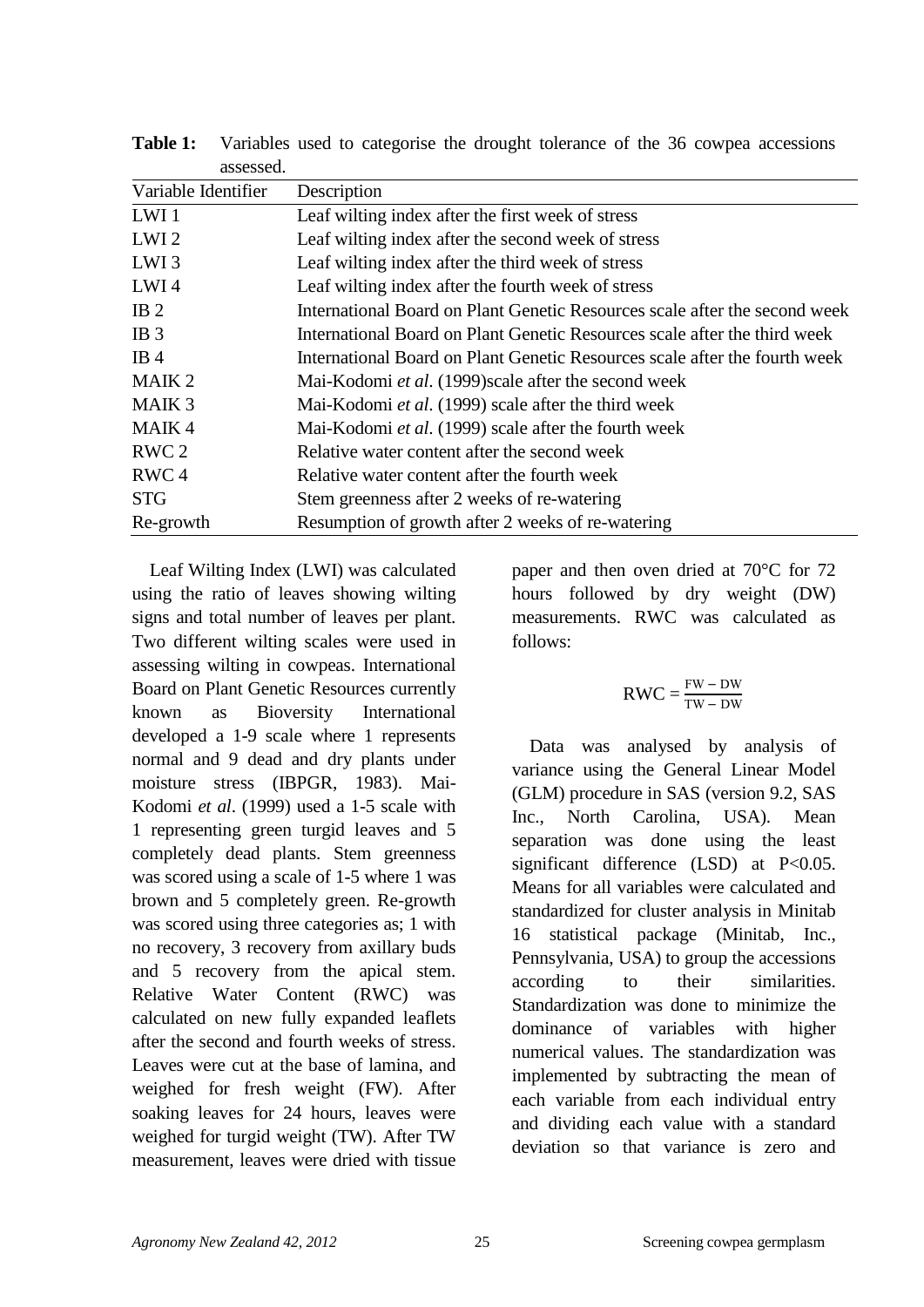| Description                                                                |
|----------------------------------------------------------------------------|
| Leaf wilting index after the first week of stress                          |
| Leaf wilting index after the second week of stress                         |
| Leaf wilting index after the third week of stress                          |
| Leaf wilting index after the fourth week of stress                         |
| International Board on Plant Genetic Resources scale after the second week |
| International Board on Plant Genetic Resources scale after the third week  |
| International Board on Plant Genetic Resources scale after the fourth week |
| Mai-Kodomi et al. (1999) scale after the second week                       |
| Mai-Kodomi et al. (1999) scale after the third week                        |
| Mai-Kodomi et al. (1999) scale after the fourth week                       |
| Relative water content after the second week                               |
| Relative water content after the fourth week                               |
| Stem greenness after 2 weeks of re-watering                                |
| Resumption of growth after 2 weeks of re-watering                          |
|                                                                            |

**Table 1:** Variables used to categorise the drought tolerance of the 36 cowpea accessions assessed.

Leaf Wilting Index (LWI) was calculated using the ratio of leaves showing wilting signs and total number of leaves per plant. Two different wilting scales were used in assessing wilting in cowpeas. International Board on Plant Genetic Resources currently known as Bioversity International developed a 1-9 scale where 1 represents normal and 9 dead and dry plants under moisture stress (IBPGR, 1983). Mai-Kodomi *et al*. (1999) used a 1-5 scale with 1 representing green turgid leaves and 5 completely dead plants. Stem greenness was scored using a scale of 1-5 where 1 was brown and 5 completely green. Re-growth was scored using three categories as; 1 with no recovery, 3 recovery from axillary buds and 5 recovery from the apical stem. Relative Water Content (RWC) was calculated on new fully expanded leaflets after the second and fourth weeks of stress. Leaves were cut at the base of lamina, and weighed for fresh weight (FW). After soaking leaves for 24 hours, leaves were weighed for turgid weight (TW). After TW measurement, leaves were dried with tissue

paper and then oven dried at 70°C for 72 hours followed by dry weight (DW) measurements. RWC was calculated as follows:

$$
RWC = \frac{FW - DW}{TW - DW}
$$

Data was analysed by analysis of variance using the General Linear Model (GLM) procedure in SAS (version 9.2, SAS Inc., North Carolina, USA). Mean separation was done using the least significant difference (LSD) at P<0.05. Means for all variables were calculated and standardized for cluster analysis in Minitab 16 statistical package (Minitab, Inc., Pennsylvania, USA) to group the accessions according to their similarities. Standardization was done to minimize the dominance of variables with higher numerical values. The standardization was implemented by subtracting the mean of each variable from each individual entry and dividing each value with a standard deviation so that variance is zero and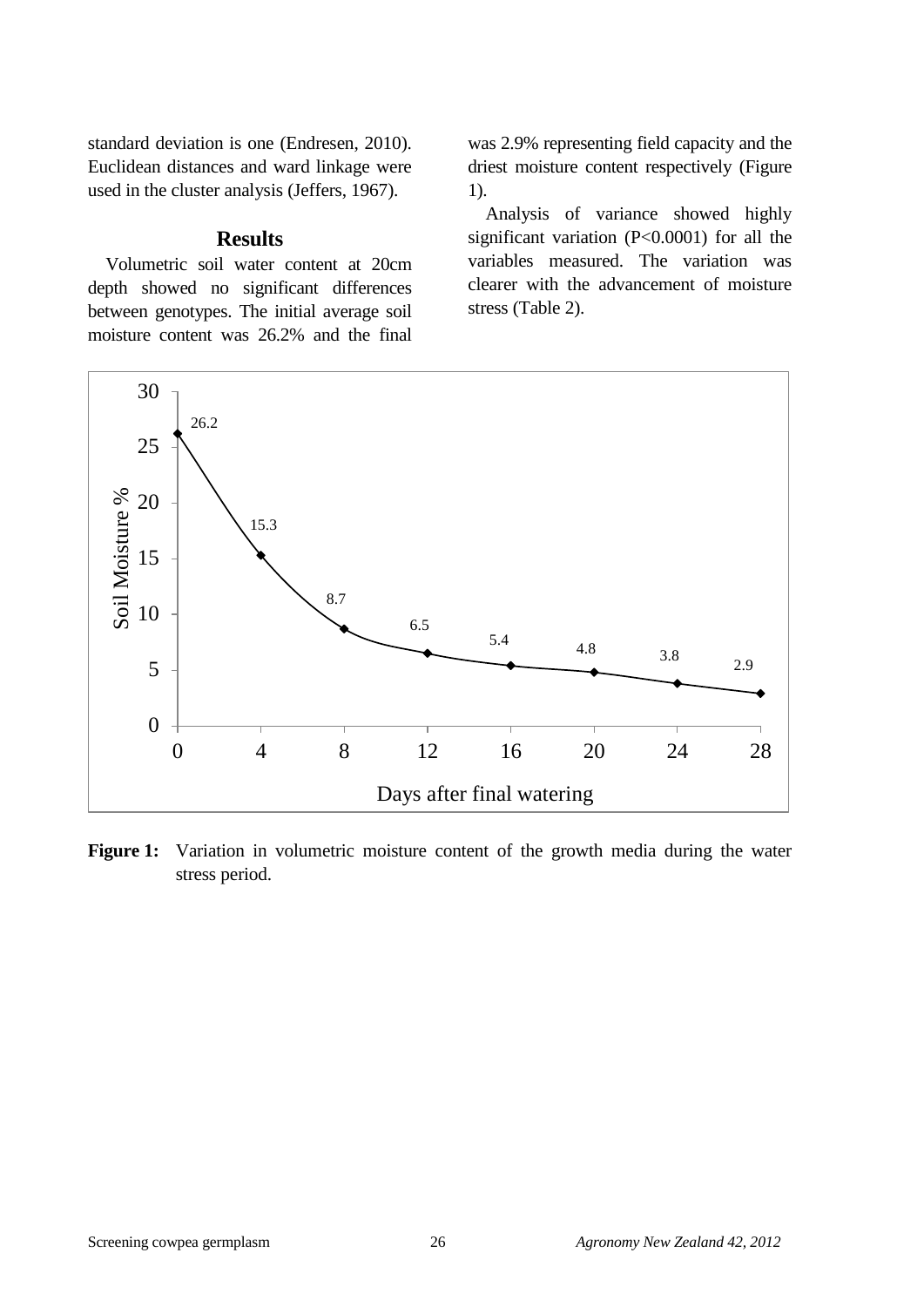standard deviation is one (Endresen, 2010). Euclidean distances and ward linkage were used in the cluster analysis (Jeffers, 1967).

#### **Results**

Volumetric soil water content at 20cm depth showed no significant differences between genotypes. The initial average soil moisture content was 26.2% and the final

was 2.9% representing field capacity and the driest moisture content respectively (Figure 1).

Analysis of variance showed highly significant variation (P<0.0001) for all the variables measured. The variation was clearer with the advancement of moisture stress (Table 2).



Figure 1: Variation in volumetric moisture content of the growth media during the water stress period.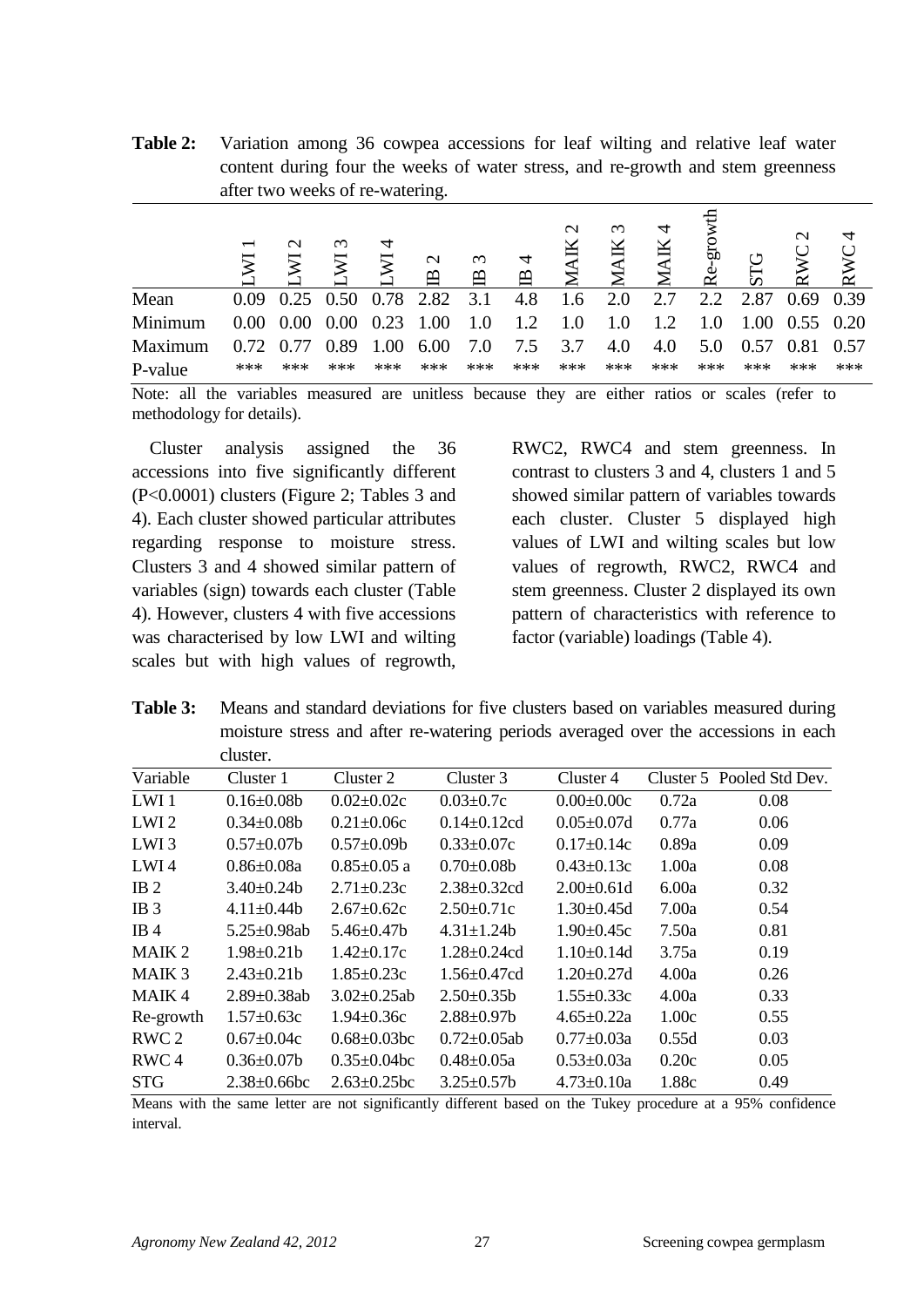**Table 2:** Variation among 36 cowpea accessions for leaf wilting and relative leaf water content during four the weeks of water stress, and re-growth and stem greenness after two weeks of re-watering.

|         | $\overline{\phantom{0}}$ | $\mathbf{\sim}$ | $\omega$          |      | $\mathbf{\Omega}$<br>$\mathbf{\Omega}$ | $\omega$<br>$\mathbf{\Omega}$ | $\approx$ | $\mathbf{\sim}$ | $\sim$ |     | org<br>Φ<br>$\sim$ |      | $\mathbf{\sim}$ | 4<br>RWC |
|---------|--------------------------|-----------------|-------------------|------|----------------------------------------|-------------------------------|-----------|-----------------|--------|-----|--------------------|------|-----------------|----------|
| Mean    | 0.09                     |                 | $0.25 \quad 0.50$ | 0.78 | 2.82                                   | 3.1                           | 4.8       | 1.6             | 2.0    | 2.7 | 2.2                | 2.87 | $0.69$ 0.39     |          |
| Minimum | 0.00                     | 0.00            | 0.00              | 0.23 | 1.00                                   | 1.0                           | 1.2       | 1.0             | 1.0    | 1.2 | 1.0                | 1.00 | $0.55$ 0.20     |          |
| Maximum | 0.72                     | 0.77            | 0.89              | 1.00 | 6.00                                   | 7.0                           | 7.5       | 3.7             | 4.0    | 4.0 | 5.0                | 0.57 | 0.81            | 0.57     |
| P-value | ***                      | ***             | ***               | ***  | ***                                    | ***                           | ***       | ***             | ***    | *** | ***                | ***  | ***             | ***      |

Note: all the variables measured are unitless because they are either ratios or scales (refer to methodology for details).

Cluster analysis assigned the 36 accessions into five significantly different (P<0.0001) clusters (Figure 2; Tables 3 and 4). Each cluster showed particular attributes regarding response to moisture stress. Clusters 3 and 4 showed similar pattern of variables (sign) towards each cluster (Table 4). However, clusters 4 with five accessions was characterised by low LWI and wilting scales but with high values of regrowth,

RWC2, RWC4 and stem greenness. In contrast to clusters 3 and 4, clusters 1 and 5 showed similar pattern of variables towards each cluster. Cluster 5 displayed high values of LWI and wilting scales but low values of regrowth, RWC2, RWC4 and stem greenness. Cluster 2 displayed its own pattern of characteristics with reference to factor (variable) loadings (Table 4).

**Table 3:** Means and standard deviations for five clusters based on variables measured during moisture stress and after re-watering periods averaged over the accessions in each cluster.

|                  | uusiu .            |                    |                    |                   |       |                           |
|------------------|--------------------|--------------------|--------------------|-------------------|-------|---------------------------|
| Variable         | Cluster 1          | Cluster 2          | Cluster 3          | Cluster 4         |       | Cluster 5 Pooled Std Dev. |
| LWI <sub>1</sub> | $0.16 \pm 0.08b$   | $0.02 \pm 0.02c$   | $0.03 \pm 0.7c$    | $0.00 \pm 0.00c$  | 0.72a | 0.08                      |
| LWI <sub>2</sub> | $0.34 \pm 0.08b$   | $0.21 \pm 0.06c$   | $0.14 \pm 0.12$ cd | $0.05 \pm 0.07d$  | 0.77a | 0.06                      |
| LWI <sub>3</sub> | $0.57 \pm 0.07$ b  | $0.57 \pm 0.09$    | $0.33 \pm 0.07c$   | $0.17 \pm 0.14c$  | 0.89a | 0.09                      |
| LWI4             | $0.86 \pm 0.08a$   | $0.85 \pm 0.05$ a  | $0.70 \pm 0.08b$   | $0.43 \pm 0.13c$  | 1.00a | 0.08                      |
| IB <sub>2</sub>  | $3.40\pm0.24b$     | $2.71 \pm 0.23c$   | $2.38 \pm 0.32$ cd | $2.00 \pm 0.61$ d | 6.00a | 0.32                      |
| IB <sub>3</sub>  | $4.11 \pm 0.44$    | $2.67 \pm 0.62c$   | $2.50 \pm 0.71c$   | $1.30 \pm 0.45d$  | 7.00a | 0.54                      |
| IB4              | $5.25 \pm 0.98$ ab | $5.46 \pm 0.47$ b  | $4.31 \pm 1.24$    | $1.90 \pm 0.45c$  | 7.50a | 0.81                      |
| MAIK 2           | $1.98 \pm 0.21$ b  | $1.42 \pm 0.17c$   | $1.28 \pm 0.24$ cd | $1.10\pm0.14d$    | 3.75a | 0.19                      |
| MAIK 3           | $2.43 \pm 0.21$    | $1.85 \pm 0.23c$   | $1.56 \pm 0.47$ cd | $1.20 \pm 0.27$ d | 4.00a | 0.26                      |
| MAIK4            | $2.89 \pm 0.38$ ab | $3.02 \pm 0.25$ ab | $2.50\pm0.35b$     | $1.55 \pm 0.33c$  | 4.00a | 0.33                      |
| Re-growth        | $1.57 \pm 0.63c$   | $1.94 \pm 0.36c$   | $2.88 \pm 0.97$ b  | $4.65 \pm 0.22a$  | 1.00c | 0.55                      |
| RWC <sub>2</sub> | $0.67 \pm 0.04c$   | $0.68 \pm 0.03$ bc | $0.72 \pm 0.05$ ab | $0.77 \pm 0.03a$  | 0.55d | 0.03                      |
| RWC <sub>4</sub> | $0.36 \pm 0.07$ b  | $0.35 \pm 0.04$ bc | $0.48 \pm 0.05a$   | $0.53 \pm 0.03a$  | 0.20c | 0.05                      |
| STG              | $2.38 \pm 0.66$ bc | $2.63 \pm 0.25$ bc | $3.25 \pm 0.57$ b  | $4.73 \pm 0.10a$  | 1.88c | 0.49                      |

Means with the same letter are not significantly different based on the Tukey procedure at a 95% confidence interval.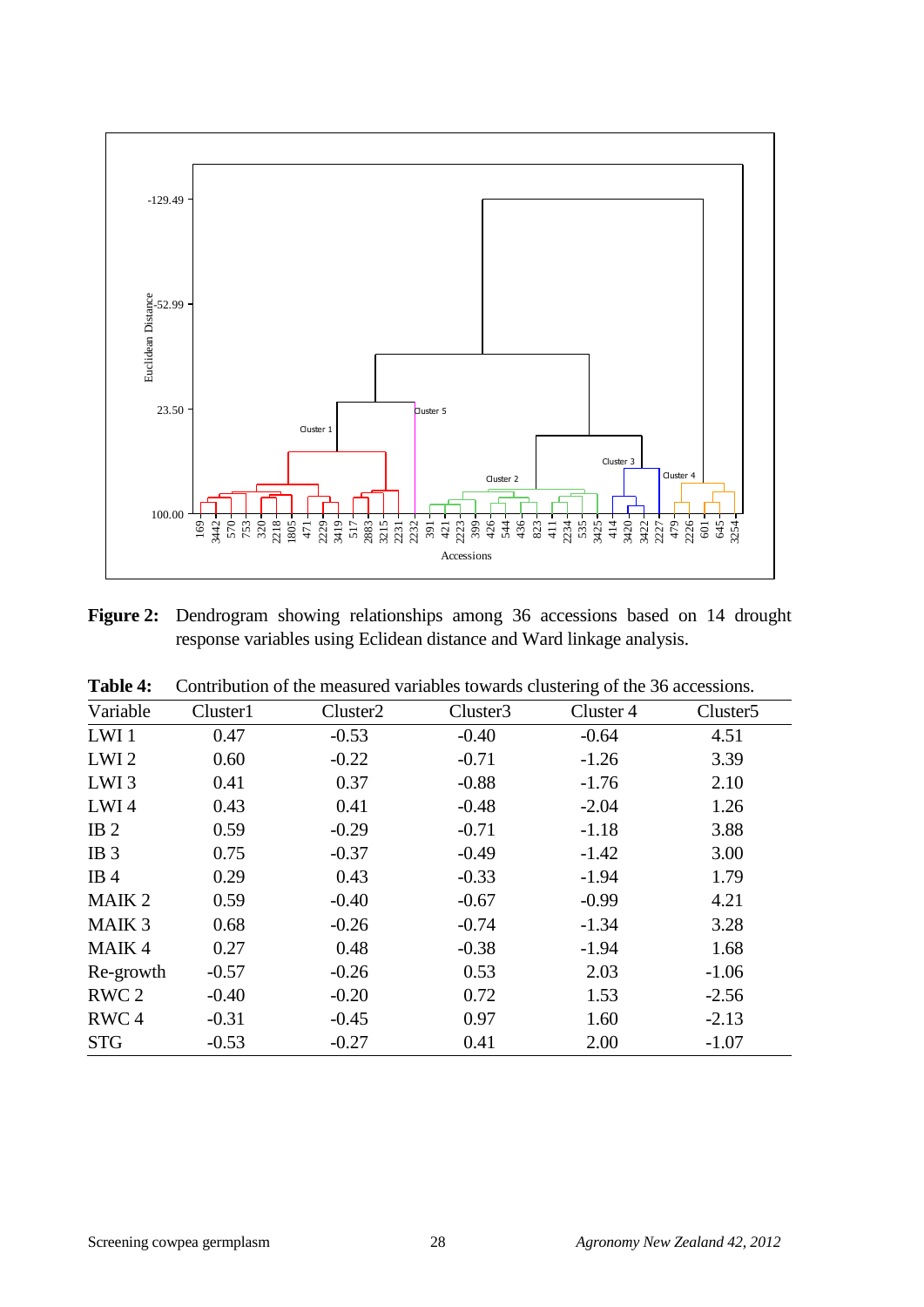

**Figure 2:** Dendrogram showing relationships among 36 accessions based on 14 drought response variables using Eclidean distance and Ward linkage analysis.

| Controllibri of the incasticul variables towards clustering of the 30 accessions. |                      |          |           |                      |  |  |
|-----------------------------------------------------------------------------------|----------------------|----------|-----------|----------------------|--|--|
| Cluster1                                                                          | Cluster <sub>2</sub> | Cluster3 | Cluster 4 | Cluster <sub>5</sub> |  |  |
| 0.47                                                                              | $-0.53$              | $-0.40$  | $-0.64$   | 4.51                 |  |  |
| 0.60                                                                              | $-0.22$              | $-0.71$  | $-1.26$   | 3.39                 |  |  |
| 0.41                                                                              | 0.37                 | $-0.88$  | $-1.76$   | 2.10                 |  |  |
| 0.43                                                                              | 0.41                 | $-0.48$  | $-2.04$   | 1.26                 |  |  |
| 0.59                                                                              | $-0.29$              | $-0.71$  | $-1.18$   | 3.88                 |  |  |
| 0.75                                                                              | $-0.37$              | $-0.49$  | $-1.42$   | 3.00                 |  |  |
| 0.29                                                                              | 0.43                 | $-0.33$  | $-1.94$   | 1.79                 |  |  |
| 0.59                                                                              | $-0.40$              | $-0.67$  | $-0.99$   | 4.21                 |  |  |
| 0.68                                                                              | $-0.26$              | $-0.74$  | $-1.34$   | 3.28                 |  |  |
| 0.27                                                                              | 0.48                 | $-0.38$  | $-1.94$   | 1.68                 |  |  |
| $-0.57$<br>Re-growth                                                              | $-0.26$              | 0.53     | 2.03      | $-1.06$              |  |  |
| $-0.40$                                                                           | $-0.20$              | 0.72     | 1.53      | $-2.56$              |  |  |
| $-0.31$                                                                           | $-0.45$              | 0.97     | 1.60      | $-2.13$              |  |  |
| $-0.53$                                                                           | $-0.27$              | 0.41     | 2.00      | $-1.07$              |  |  |
|                                                                                   |                      |          |           |                      |  |  |

|  | <b>Table 4:</b> Contribution of the measured variables towards clustering of the 36 accessions. |  |  |  |
|--|-------------------------------------------------------------------------------------------------|--|--|--|
|--|-------------------------------------------------------------------------------------------------|--|--|--|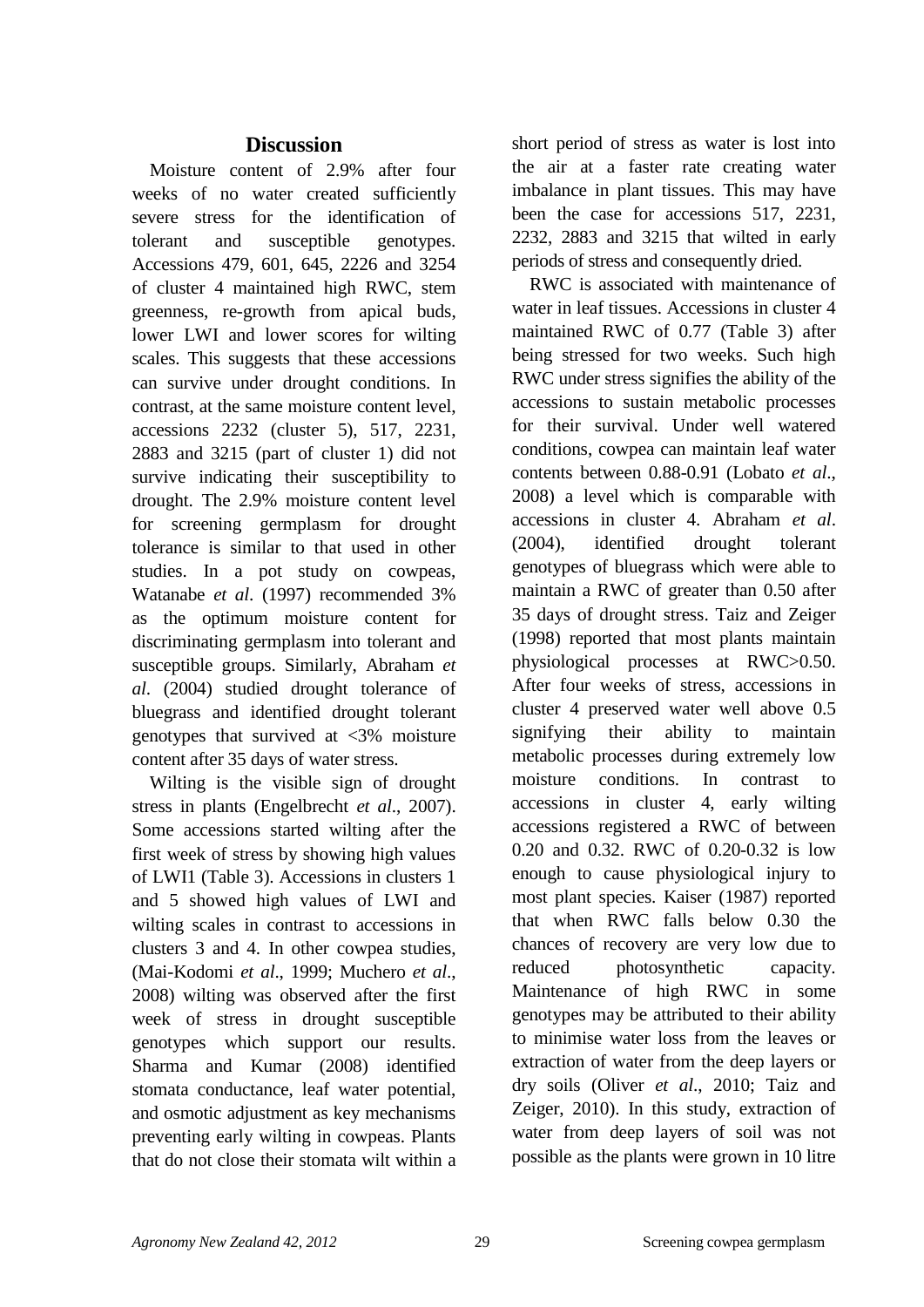# **Discussion**

Moisture content of 2.9% after four weeks of no water created sufficiently severe stress for the identification of tolerant and susceptible genotypes. Accessions 479, 601, 645, 2226 and 3254 of cluster 4 maintained high RWC, stem greenness, re-growth from apical buds, lower LWI and lower scores for wilting scales. This suggests that these accessions can survive under drought conditions. In contrast, at the same moisture content level, accessions 2232 (cluster 5), 517, 2231, 2883 and 3215 (part of cluster 1) did not survive indicating their susceptibility to drought. The 2.9% moisture content level for screening germplasm for drought tolerance is similar to that used in other studies. In a pot study on cowpeas, Watanabe *et al*. (1997) recommended 3% as the optimum moisture content for discriminating germplasm into tolerant and susceptible groups. Similarly, Abraham *et al*. (2004) studied drought tolerance of bluegrass and identified drought tolerant genotypes that survived at <3% moisture content after 35 days of water stress.

Wilting is the visible sign of drought stress in plants (Engelbrecht *et al*., 2007). Some accessions started wilting after the first week of stress by showing high values of LWI1 (Table 3). Accessions in clusters 1 and 5 showed high values of LWI and wilting scales in contrast to accessions in clusters 3 and 4. In other cowpea studies, (Mai-Kodomi *et al*., 1999; Muchero *et al*., 2008) wilting was observed after the first week of stress in drought susceptible genotypes which support our results. Sharma and Kumar (2008) identified stomata conductance, leaf water potential, and osmotic adjustment as key mechanisms preventing early wilting in cowpeas. Plants that do not close their stomata wilt within a

short period of stress as water is lost into the air at a faster rate creating water imbalance in plant tissues. This may have been the case for accessions 517, 2231, 2232, 2883 and 3215 that wilted in early periods of stress and consequently dried.

RWC is associated with maintenance of water in leaf tissues. Accessions in cluster 4 maintained RWC of 0.77 (Table 3) after being stressed for two weeks. Such high RWC under stress signifies the ability of the accessions to sustain metabolic processes for their survival. Under well watered conditions, cowpea can maintain leaf water contents between 0.88-0.91 (Lobato *et al*., 2008) a level which is comparable with accessions in cluster 4. Abraham *et al*. (2004), identified drought tolerant genotypes of bluegrass which were able to maintain a RWC of greater than 0.50 after 35 days of drought stress. Taiz and Zeiger (1998) reported that most plants maintain physiological processes at RWC>0.50. After four weeks of stress, accessions in cluster 4 preserved water well above 0.5 signifying their ability to maintain metabolic processes during extremely low moisture conditions. In contrast to accessions in cluster 4, early wilting accessions registered a RWC of between 0.20 and 0.32. RWC of 0.20-0.32 is low enough to cause physiological injury to most plant species. Kaiser (1987) reported that when RWC falls below 0.30 the chances of recovery are very low due to reduced photosynthetic capacity. Maintenance of high RWC in some genotypes may be attributed to their ability to minimise water loss from the leaves or extraction of water from the deep layers or dry soils (Oliver *et al*., 2010; Taiz and Zeiger, 2010). In this study, extraction of water from deep layers of soil was not possible as the plants were grown in 10 litre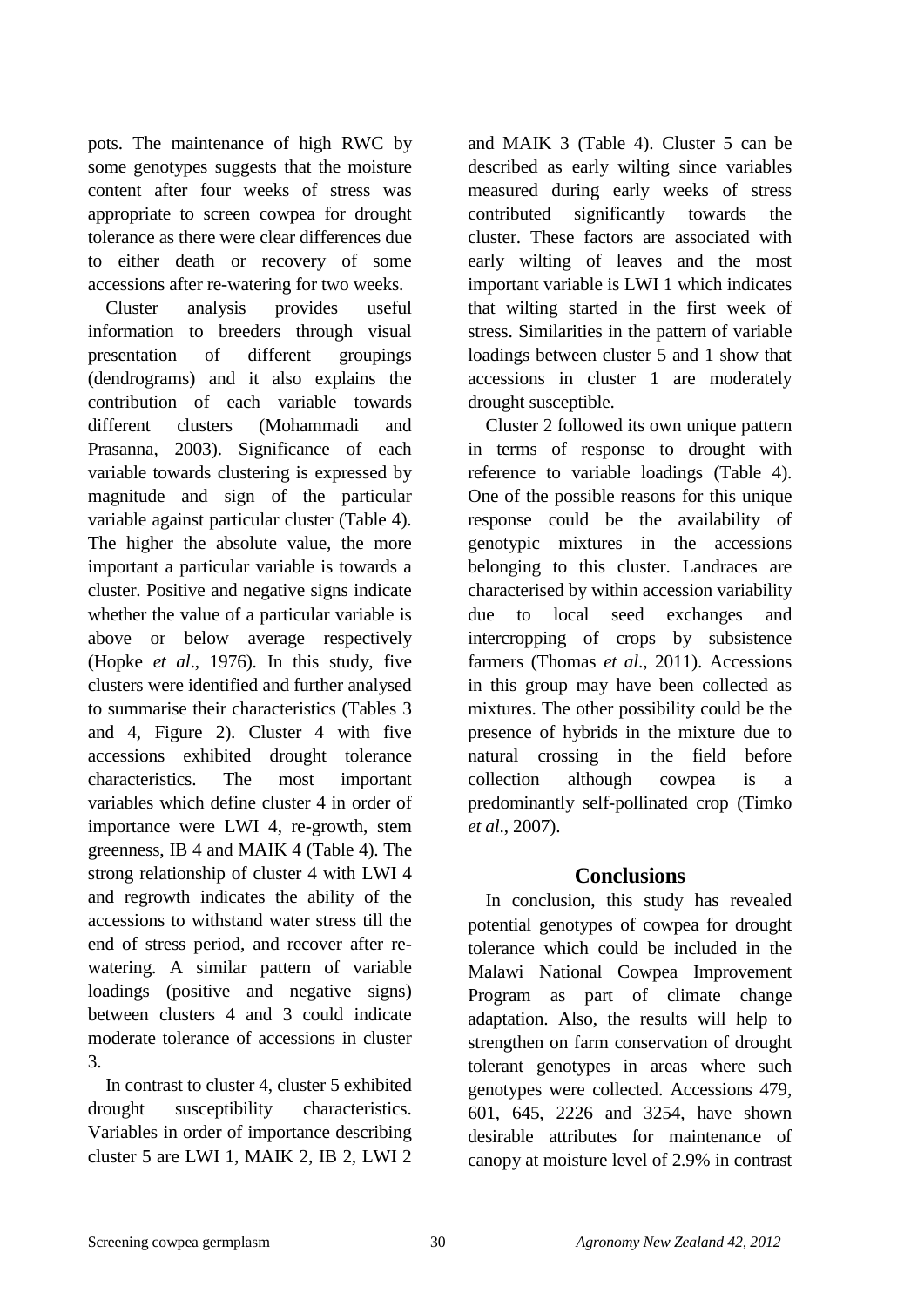pots. The maintenance of high RWC by some genotypes suggests that the moisture content after four weeks of stress was appropriate to screen cowpea for drought tolerance as there were clear differences due to either death or recovery of some accessions after re-watering for two weeks.

Cluster analysis provides useful information to breeders through visual presentation of different groupings (dendrograms) and it also explains the contribution of each variable towards different clusters (Mohammadi and Prasanna, 2003). Significance of each variable towards clustering is expressed by magnitude and sign of the particular variable against particular cluster (Table 4). The higher the absolute value, the more important a particular variable is towards a cluster. Positive and negative signs indicate whether the value of a particular variable is above or below average respectively (Hopke *et al*., 1976). In this study, five clusters were identified and further analysed to summarise their characteristics (Tables 3 and 4, Figure 2). Cluster 4 with five accessions exhibited drought tolerance characteristics. The most important variables which define cluster 4 in order of importance were LWI 4, re-growth, stem greenness, IB 4 and MAIK 4 (Table 4). The strong relationship of cluster 4 with LWI 4 and regrowth indicates the ability of the accessions to withstand water stress till the end of stress period, and recover after rewatering. A similar pattern of variable loadings (positive and negative signs) between clusters 4 and 3 could indicate moderate tolerance of accessions in cluster 3.

In contrast to cluster 4, cluster 5 exhibited drought susceptibility characteristics. Variables in order of importance describing cluster 5 are LWI 1, MAIK 2, IB 2, LWI 2 and MAIK 3 (Table 4). Cluster 5 can be described as early wilting since variables measured during early weeks of stress contributed significantly towards the cluster. These factors are associated with early wilting of leaves and the most important variable is LWI 1 which indicates that wilting started in the first week of stress. Similarities in the pattern of variable loadings between cluster 5 and 1 show that accessions in cluster 1 are moderately drought susceptible.

Cluster 2 followed its own unique pattern in terms of response to drought with reference to variable loadings (Table 4). One of the possible reasons for this unique response could be the availability of genotypic mixtures in the accessions belonging to this cluster. Landraces are characterised by within accession variability due to local seed exchanges and intercropping of crops by subsistence farmers (Thomas *et al*., 2011). Accessions in this group may have been collected as mixtures. The other possibility could be the presence of hybrids in the mixture due to natural crossing in the field before collection although cowpea is a predominantly self-pollinated crop (Timko *et al*., 2007).

# **Conclusions**

In conclusion, this study has revealed potential genotypes of cowpea for drought tolerance which could be included in the Malawi National Cowpea Improvement Program as part of climate change adaptation. Also, the results will help to strengthen on farm conservation of drought tolerant genotypes in areas where such genotypes were collected. Accessions 479, 601, 645, 2226 and 3254, have shown desirable attributes for maintenance of canopy at moisture level of 2.9% in contrast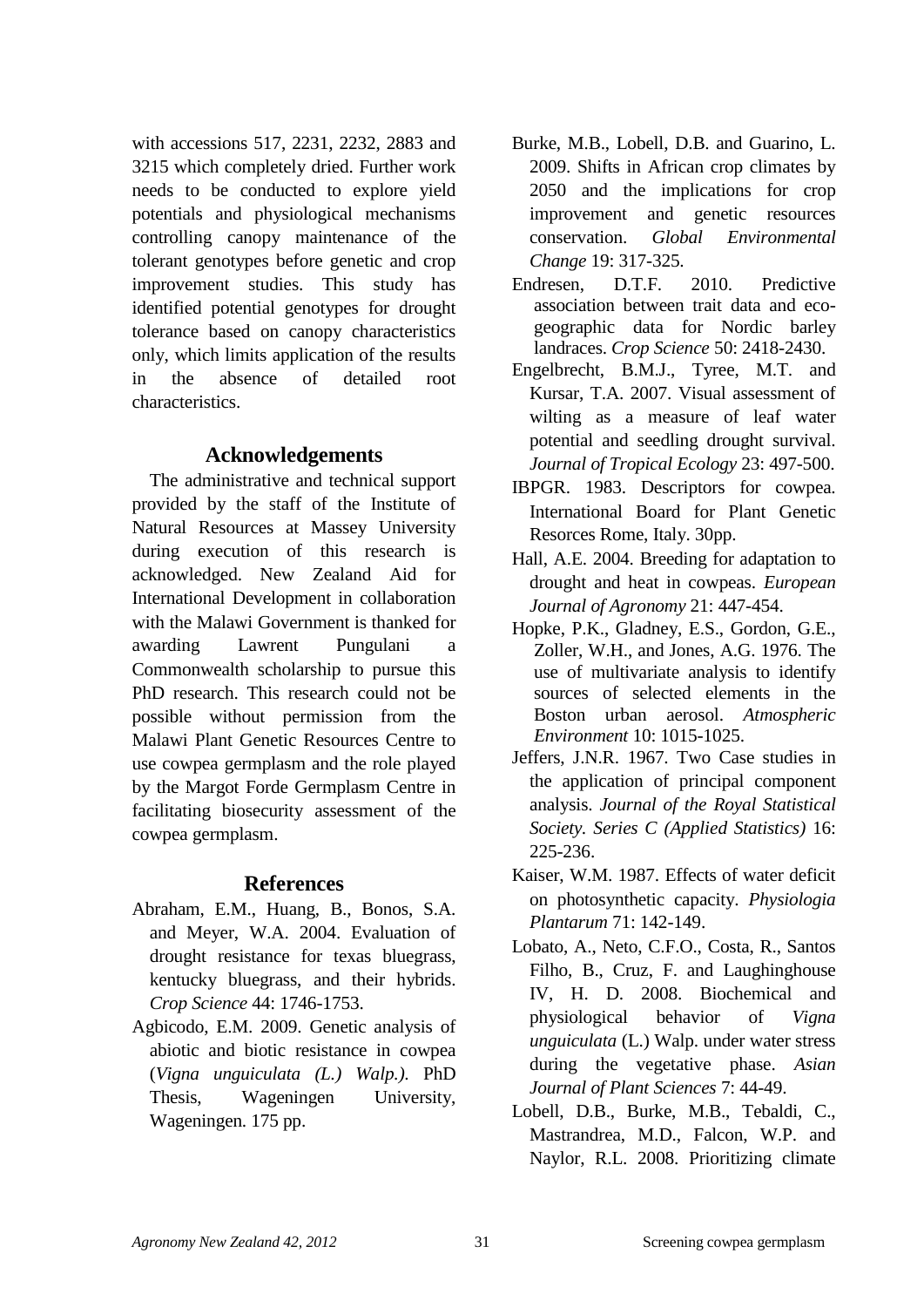with accessions 517, 2231, 2232, 2883 and 3215 which completely dried. Further work needs to be conducted to explore yield potentials and physiological mechanisms controlling canopy maintenance of the tolerant genotypes before genetic and crop improvement studies. This study has identified potential genotypes for drought tolerance based on canopy characteristics only, which limits application of the results in the absence of detailed root characteristics.

# **Acknowledgements**

The administrative and technical support provided by the staff of the Institute of Natural Resources at Massey University during execution of this research is acknowledged. New Zealand Aid for International Development in collaboration with the Malawi Government is thanked for awarding Lawrent Pungulani a Commonwealth scholarship to pursue this PhD research. This research could not be possible without permission from the Malawi Plant Genetic Resources Centre to use cowpea germplasm and the role played by the Margot Forde Germplasm Centre in facilitating biosecurity assessment of the cowpea germplasm.

# **References**

- Abraham, E.M., Huang, B., Bonos, S.A. and Meyer, W.A. 2004. Evaluation of drought resistance for texas bluegrass, kentucky bluegrass, and their hybrids. *Crop Science* 44: 1746-1753.
- Agbicodo, E.M. 2009. Genetic analysis of abiotic and biotic resistance in cowpea (*Vigna unguiculata (L.) Walp.).* PhD Thesis, Wageningen University, Wageningen. 175 pp.
- Burke, M.B., Lobell, D.B. and Guarino, L. 2009. Shifts in African crop climates by 2050 and the implications for crop improvement and genetic resources conservation. *Global Environmental Change* 19: 317-325.
- Endresen, D.T.F. 2010. Predictive association between trait data and ecogeographic data for Nordic barley landraces. *Crop Science* 50: 2418-2430.
- Engelbrecht, B.M.J., Tyree, M.T. and Kursar, T.A. 2007. Visual assessment of wilting as a measure of leaf water potential and seedling drought survival. *Journal of Tropical Ecology* 23: 497-500.
- IBPGR. 1983. Descriptors for cowpea. International Board for Plant Genetic Resorces Rome, Italy. 30pp.
- Hall, A.E. 2004. Breeding for adaptation to drought and heat in cowpeas. *European Journal of Agronomy* 21: 447-454.
- Hopke, P.K., Gladney, E.S., Gordon, G.E., Zoller, W.H., and Jones, A.G. 1976. The use of multivariate analysis to identify sources of selected elements in the Boston urban aerosol. *Atmospheric Environment* 10: 1015-1025.
- Jeffers, J.N.R. 1967. Two Case studies in the application of principal component analysis. *Journal of the Royal Statistical Society. Series C (Applied Statistics)* 16: 225-236.
- Kaiser, W.M. 1987. Effects of water deficit on photosynthetic capacity. *Physiologia Plantarum* 71: 142-149.
- Lobato, A., Neto, C.F.O., Costa, R., Santos Filho, B., Cruz, F. and Laughinghouse IV, H. D. 2008. Biochemical and physiological behavior of *Vigna unguiculata* (L.) Walp. under water stress during the vegetative phase. *Asian Journal of Plant Sciences* 7: 44-49.
- Lobell, D.B., Burke, M.B., Tebaldi, C., Mastrandrea, M.D., Falcon, W.P. and Naylor, R.L. 2008. Prioritizing climate